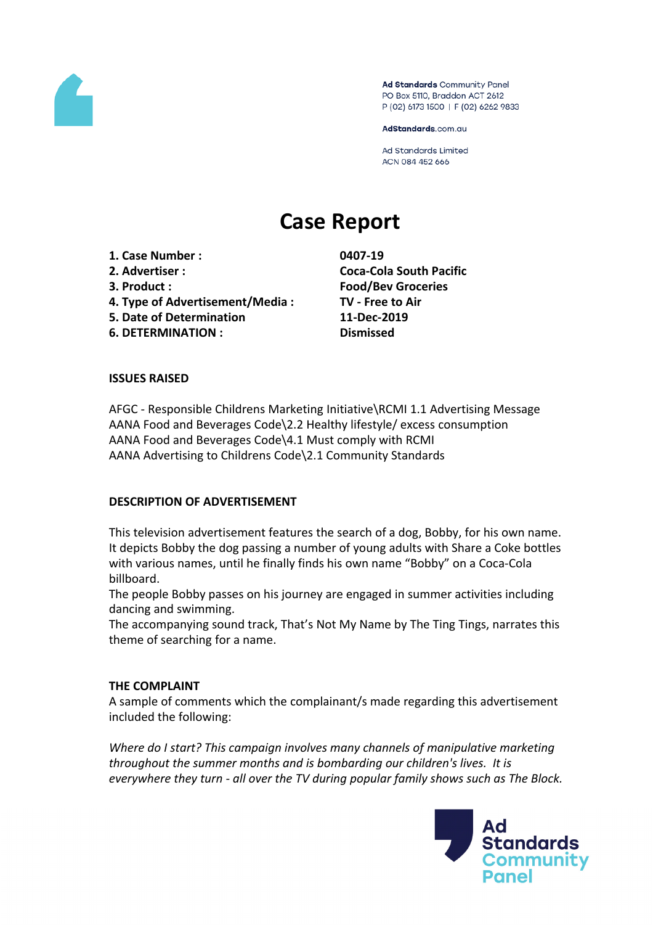

Ad Standards Community Panel PO Box 5110, Braddon ACT 2612 P (02) 6173 1500 | F (02) 6262 9833

AdStandards.com.au

**Ad Standards Limited** ACN 084 452 666

# **Case Report**

**1. Case Number : 0407-19**

- 
- 
- **4. Type of Advertisement/Media : TV - Free to Air**
- **5. Date of Determination 11-Dec-2019**

**6. DETERMINATION : Dismissed**

**2. Advertiser : Coca-Cola South Pacific 3. Product : Food/Bev Groceries**

## **ISSUES RAISED**

AFGC - Responsible Childrens Marketing Initiative\RCMI 1.1 Advertising Message AANA Food and Beverages Code\2.2 Healthy lifestyle/ excess consumption AANA Food and Beverages Code\4.1 Must comply with RCMI AANA Advertising to Childrens Code\2.1 Community Standards

#### **DESCRIPTION OF ADVERTISEMENT**

This television advertisement features the search of a dog, Bobby, for his own name. It depicts Bobby the dog passing a number of young adults with Share a Coke bottles with various names, until he finally finds his own name "Bobby" on a Coca-Cola billboard.

The people Bobby passes on his journey are engaged in summer activities including dancing and swimming.

The accompanying sound track, That's Not My Name by The Ting Tings, narrates this theme of searching for a name.

#### **THE COMPLAINT**

A sample of comments which the complainant/s made regarding this advertisement included the following:

*Where do I start? This campaign involves many channels of manipulative marketing throughout the summer months and is bombarding our children's lives. It is everywhere they turn - all over the TV during popular family shows such as The Block.* 

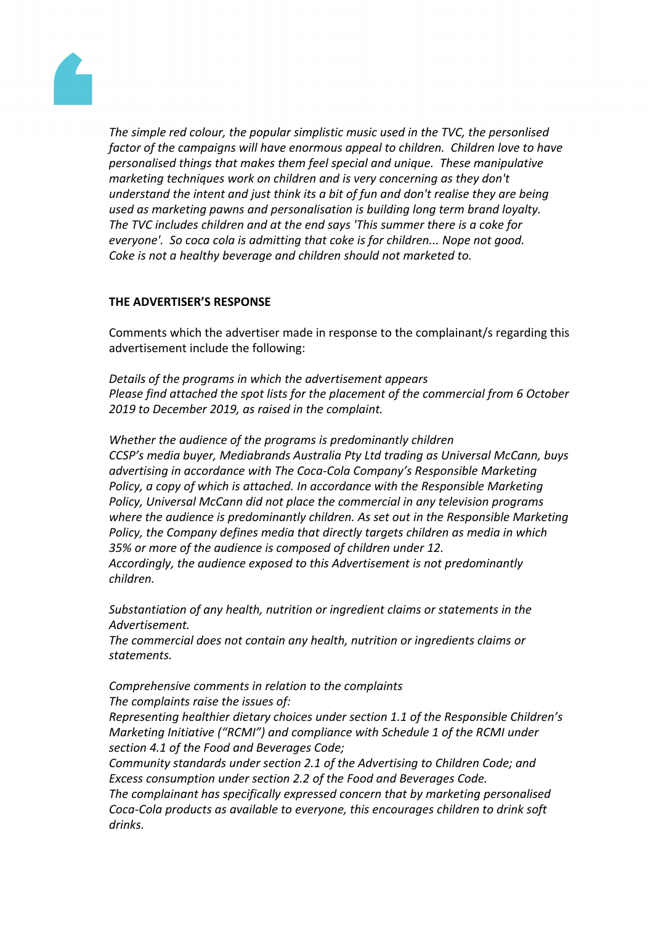

*The simple red colour, the popular simplistic music used in the TVC, the personlised factor of the campaigns will have enormous appeal to children. Children love to have personalised things that makes them feel special and unique. These manipulative marketing techniques work on children and is very concerning as they don't understand the intent and just think its a bit of fun and don't realise they are being used as marketing pawns and personalisation is building long term brand loyalty. The TVC includes children and at the end says 'This summer there is a coke for everyone'. So coca cola is admitting that coke is for children... Nope not good. Coke is not a healthy beverage and children should not marketed to.*

## **THE ADVERTISER'S RESPONSE**

Comments which the advertiser made in response to the complainant/s regarding this advertisement include the following:

*Details of the programs in which the advertisement appears Please find attached the spot lists for the placement of the commercial from 6 October 2019 to December 2019, as raised in the complaint.*

*Whether the audience of the programs is predominantly children CCSP's media buyer, Mediabrands Australia Pty Ltd trading as Universal McCann, buys advertising in accordance with The Coca-Cola Company's Responsible Marketing Policy, a copy of which is attached. In accordance with the Responsible Marketing Policy, Universal McCann did not place the commercial in any television programs where the audience is predominantly children. As set out in the Responsible Marketing Policy, the Company defines media that directly targets children as media in which 35% or more of the audience is composed of children under 12. Accordingly, the audience exposed to this Advertisement is not predominantly*

*children.*

*Substantiation of any health, nutrition or ingredient claims or statements in the Advertisement.*

*The commercial does not contain any health, nutrition or ingredients claims or statements.*

*Comprehensive comments in relation to the complaints The complaints raise the issues of:*

*Representing healthier dietary choices under section 1.1 of the Responsible Children's Marketing Initiative ("RCMI") and compliance with Schedule 1 of the RCMI under section 4.1 of the Food and Beverages Code;*

*Community standards under section 2.1 of the Advertising to Children Code; and Excess consumption under section 2.2 of the Food and Beverages Code.*

*The complainant has specifically expressed concern that by marketing personalised Coca-Cola products as available to everyone, this encourages children to drink soft drinks.*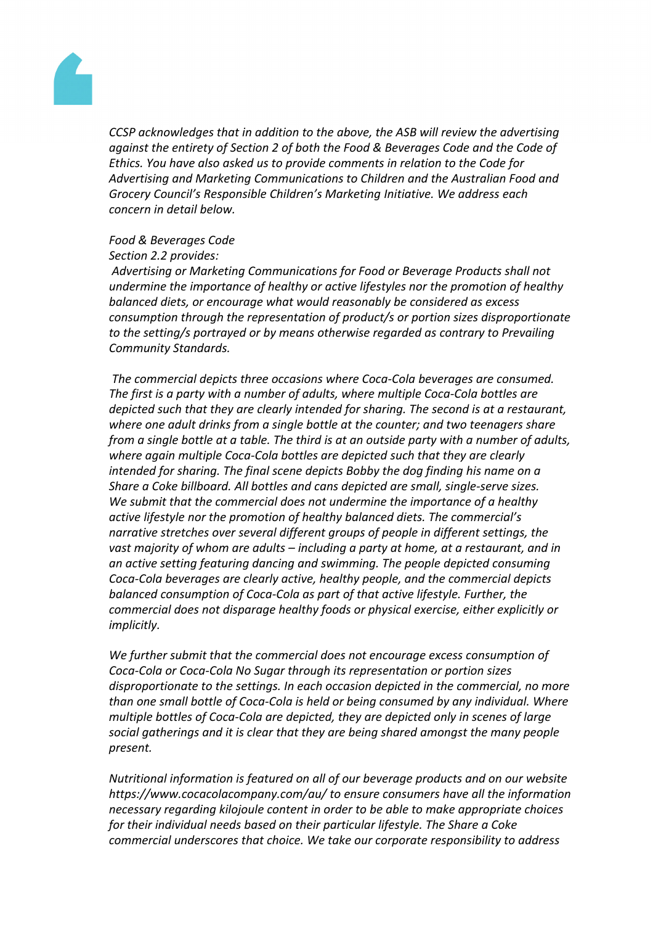

*CCSP acknowledges that in addition to the above, the ASB will review the advertising against the entirety of Section 2 of both the Food & Beverages Code and the Code of Ethics. You have also asked us to provide comments in relation to the Code for Advertising and Marketing Communications to Children and the Australian Food and Grocery Council's Responsible Children's Marketing Initiative. We address each concern in detail below.*

## *Food & Beverages Code*

#### *Section 2.2 provides:*

*Advertising or Marketing Communications for Food or Beverage Products shall not undermine the importance of healthy or active lifestyles nor the promotion of healthy balanced diets, or encourage what would reasonably be considered as excess consumption through the representation of product/s or portion sizes disproportionate to the setting/s portrayed or by means otherwise regarded as contrary to Prevailing Community Standards.*

*The commercial depicts three occasions where Coca-Cola beverages are consumed. The first is a party with a number of adults, where multiple Coca-Cola bottles are depicted such that they are clearly intended for sharing. The second is at a restaurant, where one adult drinks from a single bottle at the counter; and two teenagers share from a single bottle at a table. The third is at an outside party with a number of adults, where again multiple Coca-Cola bottles are depicted such that they are clearly intended for sharing. The final scene depicts Bobby the dog finding his name on a Share a Coke billboard. All bottles and cans depicted are small, single-serve sizes. We submit that the commercial does not undermine the importance of a healthy active lifestyle nor the promotion of healthy balanced diets. The commercial's narrative stretches over several different groups of people in different settings, the vast majority of whom are adults – including a party at home, at a restaurant, and in an active setting featuring dancing and swimming. The people depicted consuming Coca-Cola beverages are clearly active, healthy people, and the commercial depicts balanced consumption of Coca-Cola as part of that active lifestyle. Further, the commercial does not disparage healthy foods or physical exercise, either explicitly or implicitly.*

*We further submit that the commercial does not encourage excess consumption of Coca-Cola or Coca-Cola No Sugar through its representation or portion sizes disproportionate to the settings. In each occasion depicted in the commercial, no more than one small bottle of Coca-Cola is held or being consumed by any individual. Where multiple bottles of Coca-Cola are depicted, they are depicted only in scenes of large social gatherings and it is clear that they are being shared amongst the many people present.*

*Nutritional information is featured on all of our beverage products and on our website https://www.cocacolacompany.com/au/ to ensure consumers have all the information necessary regarding kilojoule content in order to be able to make appropriate choices for their individual needs based on their particular lifestyle. The Share a Coke commercial underscores that choice. We take our corporate responsibility to address*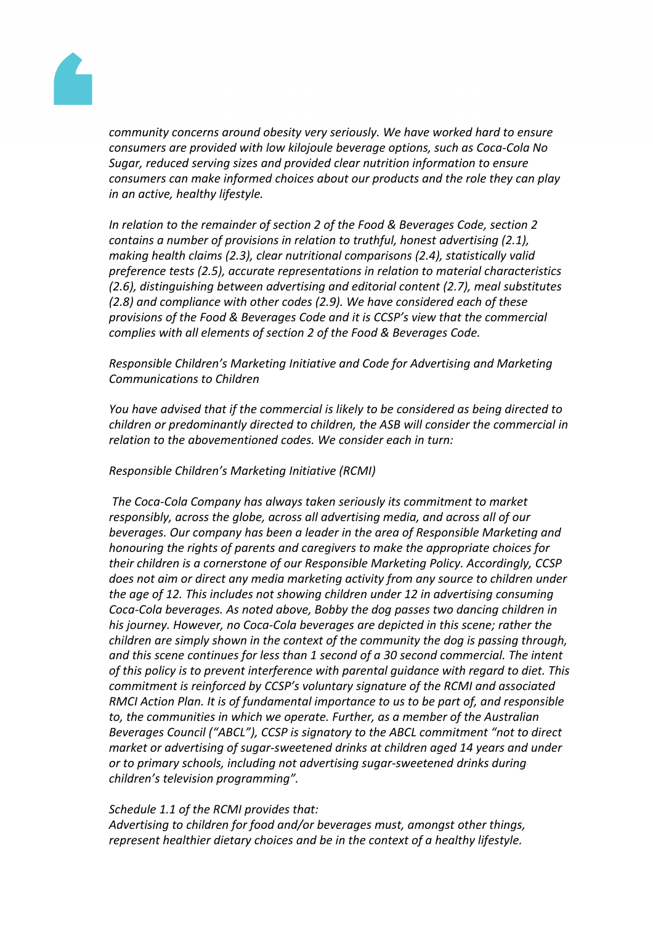

*community concerns around obesity very seriously. We have worked hard to ensure consumers are provided with low kilojoule beverage options, such as Coca-Cola No Sugar, reduced serving sizes and provided clear nutrition information to ensure consumers can make informed choices about our products and the role they can play in an active, healthy lifestyle.*

*In relation to the remainder of section 2 of the Food & Beverages Code, section 2 contains a number of provisions in relation to truthful, honest advertising (2.1), making health claims (2.3), clear nutritional comparisons (2.4), statistically valid preference tests (2.5), accurate representations in relation to material characteristics (2.6), distinguishing between advertising and editorial content (2.7), meal substitutes (2.8) and compliance with other codes (2.9). We have considered each of these provisions of the Food & Beverages Code and it is CCSP's view that the commercial complies with all elements of section 2 of the Food & Beverages Code.*

## *Responsible Children's Marketing Initiative and Code for Advertising and Marketing Communications to Children*

*You have advised that if the commercial is likely to be considered as being directed to children or predominantly directed to children, the ASB will consider the commercial in relation to the abovementioned codes. We consider each in turn:*

#### *Responsible Children's Marketing Initiative (RCMI)*

*The Coca-Cola Company has always taken seriously its commitment to market responsibly, across the globe, across all advertising media, and across all of our beverages. Our company has been a leader in the area of Responsible Marketing and honouring the rights of parents and caregivers to make the appropriate choices for their children is a cornerstone of our Responsible Marketing Policy. Accordingly, CCSP does not aim or direct any media marketing activity from any source to children under the age of 12. This includes not showing children under 12 in advertising consuming Coca-Cola beverages. As noted above, Bobby the dog passes two dancing children in his journey. However, no Coca-Cola beverages are depicted in this scene; rather the children are simply shown in the context of the community the dog is passing through, and this scene continues for less than 1 second of a 30 second commercial. The intent of this policy is to prevent interference with parental guidance with regard to diet. This commitment is reinforced by CCSP's voluntary signature of the RCMI and associated RMCI Action Plan. It is of fundamental importance to us to be part of, and responsible to, the communities in which we operate. Further, as a member of the Australian Beverages Council ("ABCL"), CCSP is signatory to the ABCL commitment "not to direct market or advertising of sugar-sweetened drinks at children aged 14 years and under or to primary schools, including not advertising sugar-sweetened drinks during children's television programming".*

#### *Schedule 1.1 of the RCMI provides that:*

*Advertising to children for food and/or beverages must, amongst other things, represent healthier dietary choices and be in the context of a healthy lifestyle.*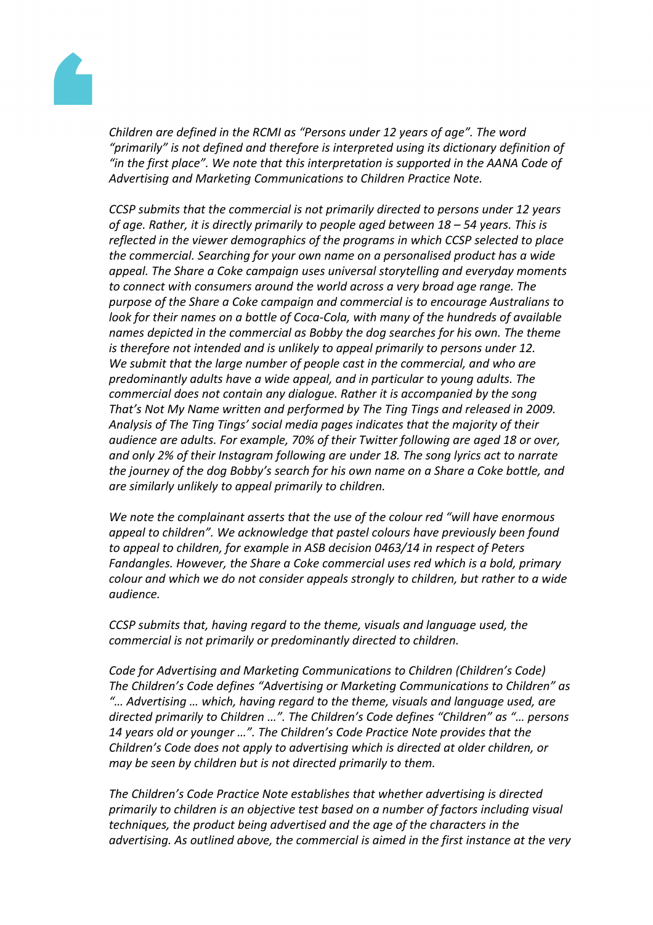

*Children are defined in the RCMI as "Persons under 12 years of age". The word "primarily" is not defined and therefore is interpreted using its dictionary definition of "in the first place". We note that this interpretation is supported in the AANA Code of Advertising and Marketing Communications to Children Practice Note.*

*CCSP submits that the commercial is not primarily directed to persons under 12 years of age. Rather, it is directly primarily to people aged between 18 – 54 years. This is reflected in the viewer demographics of the programs in which CCSP selected to place the commercial. Searching for your own name on a personalised product has a wide appeal. The Share a Coke campaign uses universal storytelling and everyday moments to connect with consumers around the world across a very broad age range. The purpose of the Share a Coke campaign and commercial is to encourage Australians to look for their names on a bottle of Coca-Cola, with many of the hundreds of available names depicted in the commercial as Bobby the dog searches for his own. The theme is therefore not intended and is unlikely to appeal primarily to persons under 12. We submit that the large number of people cast in the commercial, and who are predominantly adults have a wide appeal, and in particular to young adults. The commercial does not contain any dialogue. Rather it is accompanied by the song That's Not My Name written and performed by The Ting Tings and released in 2009. Analysis of The Ting Tings' social media pages indicates that the majority of their audience are adults. For example, 70% of their Twitter following are aged 18 or over, and only 2% of their Instagram following are under 18. The song lyrics act to narrate the journey of the dog Bobby's search for his own name on a Share a Coke bottle, and are similarly unlikely to appeal primarily to children.*

*We note the complainant asserts that the use of the colour red "will have enormous appeal to children". We acknowledge that pastel colours have previously been found to appeal to children, for example in ASB decision 0463/14 in respect of Peters Fandangles. However, the Share a Coke commercial uses red which is a bold, primary colour and which we do not consider appeals strongly to children, but rather to a wide audience.*

*CCSP submits that, having regard to the theme, visuals and language used, the commercial is not primarily or predominantly directed to children.*

*Code for Advertising and Marketing Communications to Children (Children's Code) The Children's Code defines "Advertising or Marketing Communications to Children" as "… Advertising … which, having regard to the theme, visuals and language used, are directed primarily to Children …". The Children's Code defines "Children" as "… persons 14 years old or younger …". The Children's Code Practice Note provides that the Children's Code does not apply to advertising which is directed at older children, or may be seen by children but is not directed primarily to them.*

*The Children's Code Practice Note establishes that whether advertising is directed primarily to children is an objective test based on a number of factors including visual techniques, the product being advertised and the age of the characters in the advertising. As outlined above, the commercial is aimed in the first instance at the very*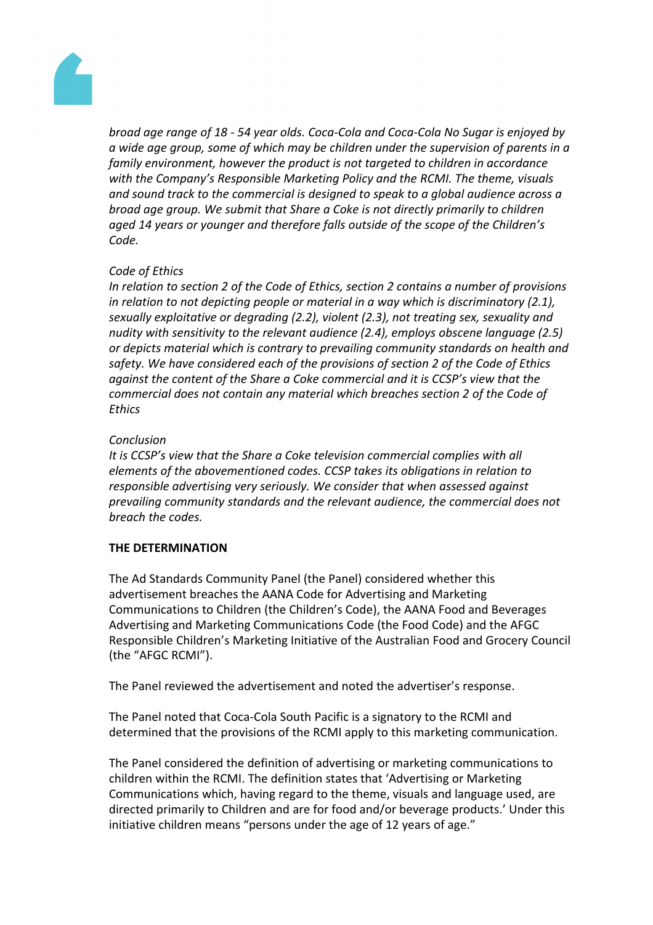

*broad age range of 18 - 54 year olds. Coca-Cola and Coca-Cola No Sugar is enjoyed by a wide age group, some of which may be children under the supervision of parents in a family environment, however the product is not targeted to children in accordance with the Company's Responsible Marketing Policy and the RCMI. The theme, visuals and sound track to the commercial is designed to speak to a global audience across a broad age group. We submit that Share a Coke is not directly primarily to children aged 14 years or younger and therefore falls outside of the scope of the Children's Code.*

## *Code of Ethics*

*In relation to section 2 of the Code of Ethics, section 2 contains a number of provisions in relation to not depicting people or material in a way which is discriminatory (2.1), sexually exploitative or degrading (2.2), violent (2.3), not treating sex, sexuality and nudity with sensitivity to the relevant audience (2.4), employs obscene language (2.5) or depicts material which is contrary to prevailing community standards on health and safety. We have considered each of the provisions of section 2 of the Code of Ethics against the content of the Share a Coke commercial and it is CCSP's view that the commercial does not contain any material which breaches section 2 of the Code of Ethics*

## *Conclusion*

*It is CCSP's view that the Share a Coke television commercial complies with all elements of the abovementioned codes. CCSP takes its obligations in relation to responsible advertising very seriously. We consider that when assessed against prevailing community standards and the relevant audience, the commercial does not breach the codes.*

#### **THE DETERMINATION**

The Ad Standards Community Panel (the Panel) considered whether this advertisement breaches the AANA Code for Advertising and Marketing Communications to Children (the Children's Code), the AANA Food and Beverages Advertising and Marketing Communications Code (the Food Code) and the AFGC Responsible Children's Marketing Initiative of the Australian Food and Grocery Council (the "AFGC RCMI").

The Panel reviewed the advertisement and noted the advertiser's response.

The Panel noted that Coca-Cola South Pacific is a signatory to the RCMI and determined that the provisions of the RCMI apply to this marketing communication.

The Panel considered the definition of advertising or marketing communications to children within the RCMI. The definition states that 'Advertising or Marketing Communications which, having regard to the theme, visuals and language used, are directed primarily to Children and are for food and/or beverage products.' Under this initiative children means "persons under the age of 12 years of age."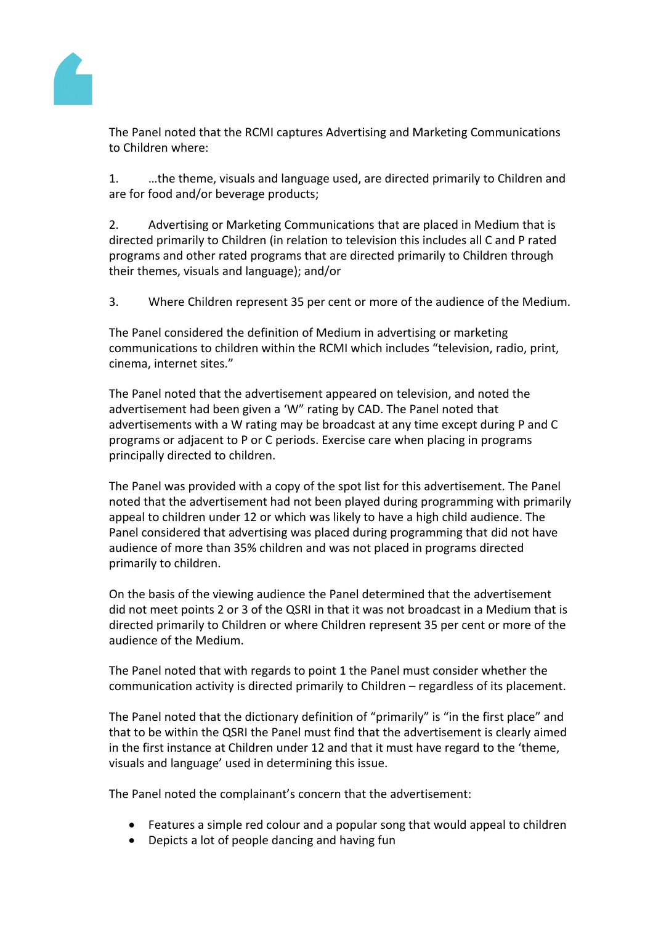

The Panel noted that the RCMI captures Advertising and Marketing Communications to Children where:

1. …the theme, visuals and language used, are directed primarily to Children and are for food and/or beverage products;

2. Advertising or Marketing Communications that are placed in Medium that is directed primarily to Children (in relation to television this includes all C and P rated programs and other rated programs that are directed primarily to Children through their themes, visuals and language); and/or

3. Where Children represent 35 per cent or more of the audience of the Medium.

The Panel considered the definition of Medium in advertising or marketing communications to children within the RCMI which includes "television, radio, print, cinema, internet sites."

The Panel noted that the advertisement appeared on television, and noted the advertisement had been given a 'W" rating by CAD. The Panel noted that advertisements with a W rating may be broadcast at any time except during P and C programs or adjacent to P or C periods. Exercise care when placing in programs principally directed to children.

The Panel was provided with a copy of the spot list for this advertisement. The Panel noted that the advertisement had not been played during programming with primarily appeal to children under 12 or which was likely to have a high child audience. The Panel considered that advertising was placed during programming that did not have audience of more than 35% children and was not placed in programs directed primarily to children.

On the basis of the viewing audience the Panel determined that the advertisement did not meet points 2 or 3 of the QSRI in that it was not broadcast in a Medium that is directed primarily to Children or where Children represent 35 per cent or more of the audience of the Medium.

The Panel noted that with regards to point 1 the Panel must consider whether the communication activity is directed primarily to Children – regardless of its placement.

The Panel noted that the dictionary definition of "primarily" is "in the first place" and that to be within the QSRI the Panel must find that the advertisement is clearly aimed in the first instance at Children under 12 and that it must have regard to the 'theme, visuals and language' used in determining this issue.

The Panel noted the complainant's concern that the advertisement:

- Features a simple red colour and a popular song that would appeal to children
- Depicts a lot of people dancing and having fun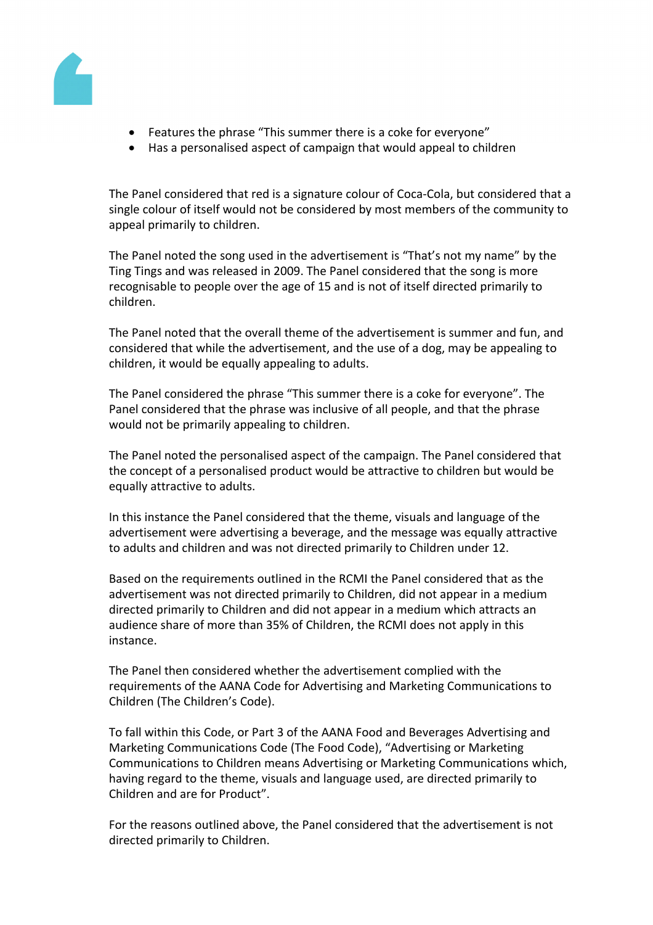

- Features the phrase "This summer there is a coke for everyone"
- Has a personalised aspect of campaign that would appeal to children

The Panel considered that red is a signature colour of Coca-Cola, but considered that a single colour of itself would not be considered by most members of the community to appeal primarily to children.

The Panel noted the song used in the advertisement is "That's not my name" by the Ting Tings and was released in 2009. The Panel considered that the song is more recognisable to people over the age of 15 and is not of itself directed primarily to children.

The Panel noted that the overall theme of the advertisement is summer and fun, and considered that while the advertisement, and the use of a dog, may be appealing to children, it would be equally appealing to adults.

The Panel considered the phrase "This summer there is a coke for everyone". The Panel considered that the phrase was inclusive of all people, and that the phrase would not be primarily appealing to children.

The Panel noted the personalised aspect of the campaign. The Panel considered that the concept of a personalised product would be attractive to children but would be equally attractive to adults.

In this instance the Panel considered that the theme, visuals and language of the advertisement were advertising a beverage, and the message was equally attractive to adults and children and was not directed primarily to Children under 12.

Based on the requirements outlined in the RCMI the Panel considered that as the advertisement was not directed primarily to Children, did not appear in a medium directed primarily to Children and did not appear in a medium which attracts an audience share of more than 35% of Children, the RCMI does not apply in this instance.

The Panel then considered whether the advertisement complied with the requirements of the AANA Code for Advertising and Marketing Communications to Children (The Children's Code).

To fall within this Code, or Part 3 of the AANA Food and Beverages Advertising and Marketing Communications Code (The Food Code), "Advertising or Marketing Communications to Children means Advertising or Marketing Communications which, having regard to the theme, visuals and language used, are directed primarily to Children and are for Product".

For the reasons outlined above, the Panel considered that the advertisement is not directed primarily to Children.